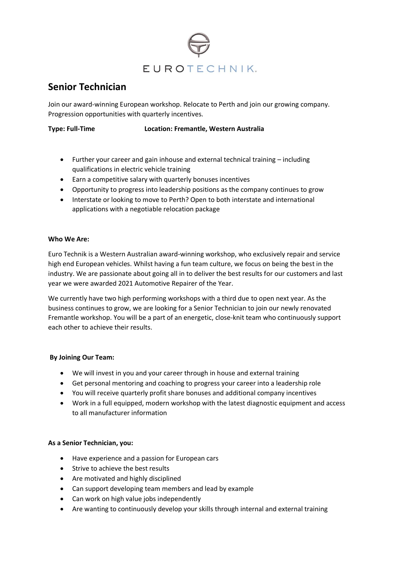

# **Senior Technician**

Join our award-winning European workshop. Relocate to Perth and join our growing company. Progression opportunities with quarterly incentives.

#### **Type: Full-Time Location: Fremantle, Western Australia**

- Further your career and gain inhouse and external technical training including qualifications in electric vehicle training
- Earn a competitive salary with quarterly bonuses incentives
- Opportunity to progress into leadership positions as the company continues to grow
- Interstate or looking to move to Perth? Open to both interstate and international applications with a negotiable relocation package

### **Who We Are:**

Euro Technik is a Western Australian award-winning workshop, who exclusively repair and service high end European vehicles. Whilst having a fun team culture, we focus on being the best in the industry. We are passionate about going all in to deliver the best results for our customers and last year we were awarded 2021 Automotive Repairer of the Year.

We currently have two high performing workshops with a third due to open next year. As the business continues to grow, we are looking for a Senior Technician to join our newly renovated Fremantle workshop. You will be a part of an energetic, close-knit team who continuously support each other to achieve their results.

### **By Joining Our Team:**

- We will invest in you and your career through in house and external training
- Get personal mentoring and coaching to progress your career into a leadership role
- You will receive quarterly profit share bonuses and additional company incentives
- Work in a full equipped, modern workshop with the latest diagnostic equipment and access to all manufacturer information

### **As a Senior Technician, you:**

- Have experience and a passion for European cars
- Strive to achieve the best results
- Are motivated and highly disciplined
- Can support developing team members and lead by example
- Can work on high value jobs independently
- Are wanting to continuously develop your skills through internal and external training